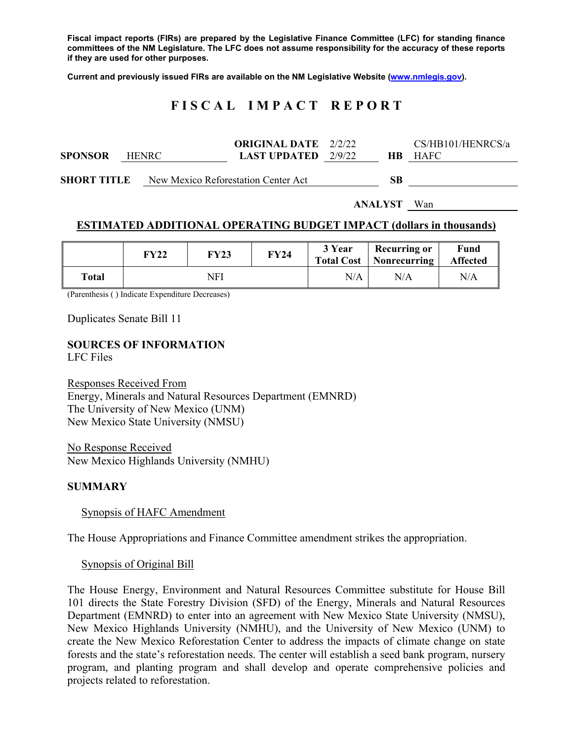**Fiscal impact reports (FIRs) are prepared by the Legislative Finance Committee (LFC) for standing finance committees of the NM Legislature. The LFC does not assume responsibility for the accuracy of these reports if they are used for other purposes.** 

**Current and previously issued FIRs are available on the NM Legislative Website (www.nmlegis.gov).** 

# **F I S C A L I M P A C T R E P O R T**

| <b>SPONSOR</b>     | <b>HENRC</b> | <b>ORIGINAL DATE</b> 2/2/22<br><b>LAST UPDATED</b> $2/9/22$ | HB.            | CS/HB101/HENRCS/a<br><b>HAFC</b> |
|--------------------|--------------|-------------------------------------------------------------|----------------|----------------------------------|
| <b>SHORT TITLE</b> |              | New Mexico Reforestation Center Act                         | <b>SB</b>      |                                  |
|                    |              |                                                             | <b>ANALYST</b> | Wan                              |

### **ESTIMATED ADDITIONAL OPERATING BUDGET IMPACT (dollars in thousands)**

|       | <b>FY22</b> | <b>FY23</b> | <b>FY24</b> | 3 Year | <b>Recurring or</b><br><b>Total Cost</b>   Nonrecurring | Fund<br><b>Affected</b> |
|-------|-------------|-------------|-------------|--------|---------------------------------------------------------|-------------------------|
| Total | NFI         |             | N/A         | N/A    | N/A                                                     |                         |

(Parenthesis ( ) Indicate Expenditure Decreases)

Duplicates Senate Bill 11

### **SOURCES OF INFORMATION**

LFC Files

Responses Received From Energy, Minerals and Natural Resources Department (EMNRD) The University of New Mexico (UNM) New Mexico State University (NMSU)

No Response Received New Mexico Highlands University (NMHU)

#### **SUMMARY**

Synopsis of HAFC Amendment

The House Appropriations and Finance Committee amendment strikes the appropriation.

#### Synopsis of Original Bill

The House Energy, Environment and Natural Resources Committee substitute for House Bill 101 directs the State Forestry Division (SFD) of the Energy, Minerals and Natural Resources Department (EMNRD) to enter into an agreement with New Mexico State University (NMSU), New Mexico Highlands University (NMHU), and the University of New Mexico (UNM) to create the New Mexico Reforestation Center to address the impacts of climate change on state forests and the state's reforestation needs. The center will establish a seed bank program, nursery program, and planting program and shall develop and operate comprehensive policies and projects related to reforestation.